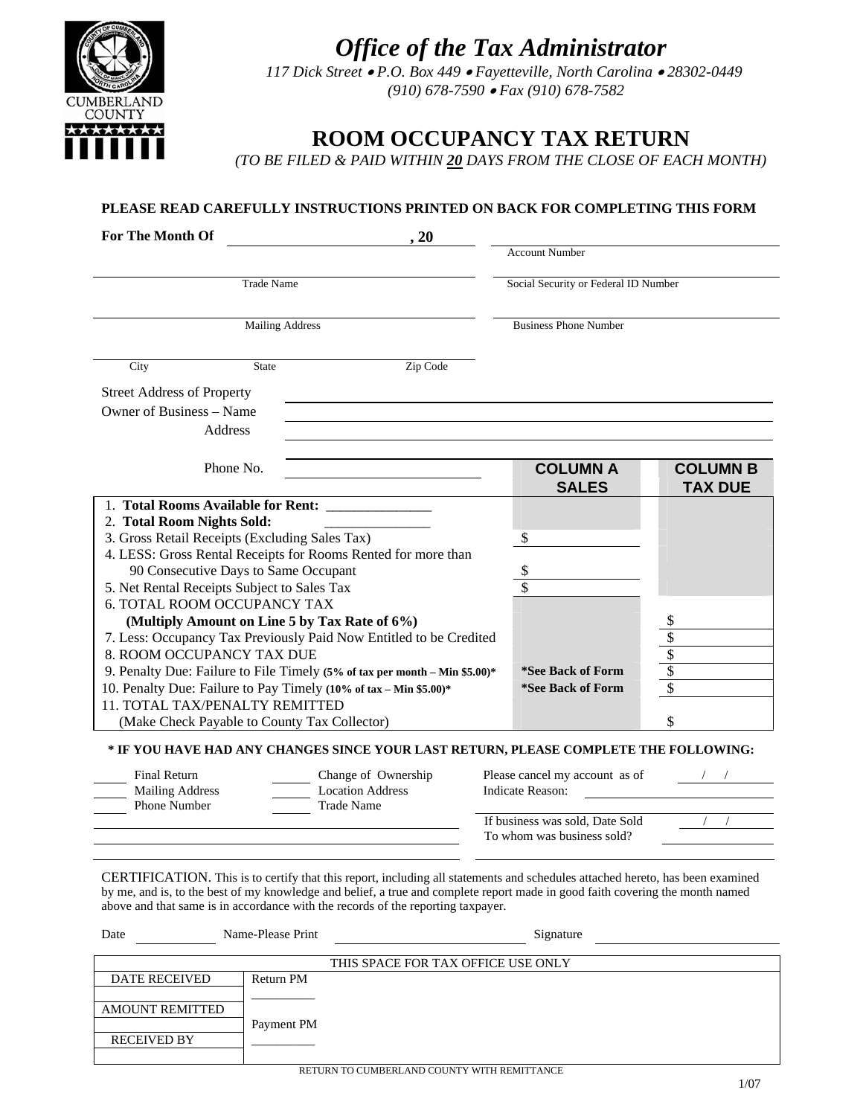



*117 Dick Street* • *P.O. Box 449* • *Fayetteville, North Carolina* • *28302-0449 (910) 678-7590* • *Fax (910) 678-7582*

# **ROOM OCCUPANCY TAX RETURN**

*(TO BE FILED & PAID WITHIN 20 DAYS FROM THE CLOSE OF EACH MONTH)* 

### **PLEASE READ CAREFULLY INSTRUCTIONS PRINTED ON BACK FOR COMPLETING THIS FORM**

| <b>For The Month Of</b>                                                    |                                                               | .20      |                                      |                 |
|----------------------------------------------------------------------------|---------------------------------------------------------------|----------|--------------------------------------|-----------------|
|                                                                            |                                                               |          | <b>Account Number</b>                |                 |
| <b>Trade Name</b>                                                          |                                                               |          | Social Security or Federal ID Number |                 |
|                                                                            | <b>Mailing Address</b>                                        |          | <b>Business Phone Number</b>         |                 |
|                                                                            |                                                               |          |                                      |                 |
| City                                                                       | <b>State</b>                                                  | Zip Code |                                      |                 |
| <b>Street Address of Property</b>                                          |                                                               |          |                                      |                 |
|                                                                            | Owner of Business – Name                                      |          |                                      |                 |
|                                                                            | Address                                                       |          |                                      |                 |
|                                                                            | Phone No.                                                     |          | <b>COLUMN A</b>                      | <b>COLUMN B</b> |
|                                                                            |                                                               |          | <b>SALES</b>                         | <b>TAX DUE</b>  |
| 1. Total Rooms Available for Rent:                                         |                                                               |          |                                      |                 |
| 2. Total Room Nights Sold:                                                 |                                                               |          |                                      |                 |
| 3. Gross Retail Receipts (Excluding Sales Tax)                             |                                                               |          | $\mathbb{S}$                         |                 |
|                                                                            | 4. LESS: Gross Rental Receipts for Rooms Rented for more than |          |                                      |                 |
| 90 Consecutive Days to Same Occupant                                       |                                                               |          | \$                                   |                 |
| 5. Net Rental Receipts Subject to Sales Tax                                |                                                               |          |                                      |                 |
|                                                                            | <b>6. TOTAL ROOM OCCUPANCY TAX</b>                            |          |                                      |                 |
| (Multiply Amount on Line 5 by Tax Rate of 6%)                              |                                                               |          |                                      |                 |
| 7. Less: Occupancy Tax Previously Paid Now Entitled to be Credited         |                                                               |          |                                      |                 |
| 8. ROOM OCCUPANCY TAX DUE                                                  |                                                               |          |                                      |                 |
| 9. Penalty Due: Failure to File Timely (5% of tax per month – Min \$5.00)* |                                                               |          | *See Back of Form                    | $\frac{$}{\$}$  |
| 10. Penalty Due: Failure to Pay Timely (10% of tax - Min \$5.00)*          |                                                               |          | *See Back of Form                    |                 |
| 11. TOTAL TAX/PENALTY REMITTED                                             |                                                               |          |                                      |                 |
|                                                                            | (Make Check Payable to County Tax Collector)                  |          | \$                                   |                 |

#### **\* IF YOU HAVE HAD ANY CHANGES SINCE YOUR LAST RETURN, PLEASE COMPLETE THE FOLLOWING:**

| Final Return<br><b>Mailing Address</b> | Change of Ownership<br><b>Location Address</b> | Please cancel my account as of<br>Indicate Reason: |  |
|----------------------------------------|------------------------------------------------|----------------------------------------------------|--|
| Phone Number                           | Trade Name                                     |                                                    |  |
|                                        |                                                | If business was sold, Date Sold                    |  |
|                                        |                                                | To whom was business sold?                         |  |
|                                        |                                                |                                                    |  |

CERTIFICATION. This is to certify that this report, including all statements and schedules attached hereto, has been examined by me, and is, to the best of my knowledge and belief, a true and complete report made in good faith covering the month named above and that same is in accordance with the records of the reporting taxpayer.

| Date                   | Name-Please Print                                                  | Signature                          |
|------------------------|--------------------------------------------------------------------|------------------------------------|
|                        |                                                                    | THIS SPACE FOR TAX OFFICE USE ONLY |
| <b>DATE RECEIVED</b>   | Return PM                                                          |                                    |
| <b>AMOUNT REMITTED</b> |                                                                    |                                    |
| <b>RECEIVED BY</b>     | Payment PM<br><b>DETHIBM TO CHADEDI AND COUNTY WITH DEMITTANCE</b> |                                    |